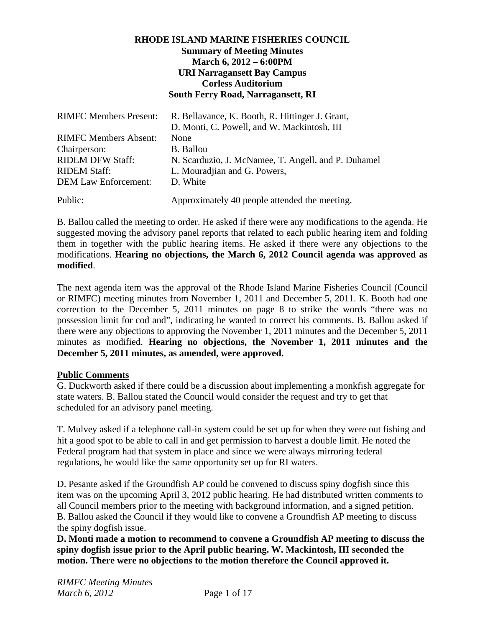# **RHODE ISLAND MARINE FISHERIES COUNCIL Summary of Meeting Minutes March 6, 2012 – 6:00PM URI Narragansett Bay Campus Corless Auditorium South Ferry Road, Narragansett, RI**

| <b>RIMFC Members Present:</b> | R. Bellavance, K. Booth, R. Hittinger J. Grant,     |
|-------------------------------|-----------------------------------------------------|
|                               | D. Monti, C. Powell, and W. Mackintosh, III         |
| <b>RIMFC Members Absent:</b>  | None                                                |
| Chairperson:                  | <b>B.</b> Ballou                                    |
| <b>RIDEM DFW Staff:</b>       | N. Scarduzio, J. McNamee, T. Angell, and P. Duhamel |
| <b>RIDEM Staff:</b>           | L. Mouradjian and G. Powers,                        |
| <b>DEM Law Enforcement:</b>   | D. White                                            |
| Public:                       | Approximately 40 people attended the meeting.       |

B. Ballou called the meeting to order. He asked if there were any modifications to the agenda. He suggested moving the advisory panel reports that related to each public hearing item and folding them in together with the public hearing items. He asked if there were any objections to the modifications. **Hearing no objections, the March 6, 2012 Council agenda was approved as modified**.

The next agenda item was the approval of the Rhode Island Marine Fisheries Council (Council or RIMFC) meeting minutes from November 1, 2011 and December 5, 2011. K. Booth had one correction to the December 5, 2011 minutes on page 8 to strike the words "there was no possession limit for cod and", indicating he wanted to correct his comments. B. Ballou asked if there were any objections to approving the November 1, 2011 minutes and the December 5, 2011 minutes as modified. **Hearing no objections, the November 1, 2011 minutes and the December 5, 2011 minutes, as amended, were approved.** 

#### **Public Comments**

G. Duckworth asked if there could be a discussion about implementing a monkfish aggregate for state waters. B. Ballou stated the Council would consider the request and try to get that scheduled for an advisory panel meeting.

T. Mulvey asked if a telephone call-in system could be set up for when they were out fishing and hit a good spot to be able to call in and get permission to harvest a double limit. He noted the Federal program had that system in place and since we were always mirroring federal regulations, he would like the same opportunity set up for RI waters.

D. Pesante asked if the Groundfish AP could be convened to discuss spiny dogfish since this item was on the upcoming April 3, 2012 public hearing. He had distributed written comments to all Council members prior to the meeting with background information, and a signed petition. B. Ballou asked the Council if they would like to convene a Groundfish AP meeting to discuss the spiny dogfish issue.

**D. Monti made a motion to recommend to convene a Groundfish AP meeting to discuss the spiny dogfish issue prior to the April public hearing. W. Mackintosh, III seconded the motion. There were no objections to the motion therefore the Council approved it.**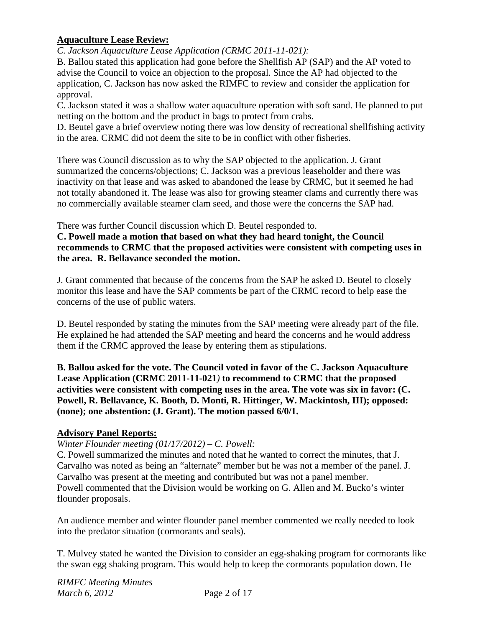# **Aquaculture Lease Review:**

*C. Jackson Aquaculture Lease Application (CRMC 2011-11-021):* 

B. Ballou stated this application had gone before the Shellfish AP (SAP) and the AP voted to advise the Council to voice an objection to the proposal. Since the AP had objected to the application, C. Jackson has now asked the RIMFC to review and consider the application for approval.

C. Jackson stated it was a shallow water aquaculture operation with soft sand. He planned to put netting on the bottom and the product in bags to protect from crabs.

D. Beutel gave a brief overview noting there was low density of recreational shellfishing activity in the area. CRMC did not deem the site to be in conflict with other fisheries.

There was Council discussion as to why the SAP objected to the application. J. Grant summarized the concerns/objections; C. Jackson was a previous leaseholder and there was inactivity on that lease and was asked to abandoned the lease by CRMC, but it seemed he had not totally abandoned it. The lease was also for growing steamer clams and currently there was no commercially available steamer clam seed, and those were the concerns the SAP had.

There was further Council discussion which D. Beutel responded to.

# **C. Powell made a motion that based on what they had heard tonight, the Council recommends to CRMC that the proposed activities were consistent with competing uses in the area. R. Bellavance seconded the motion.**

J. Grant commented that because of the concerns from the SAP he asked D. Beutel to closely monitor this lease and have the SAP comments be part of the CRMC record to help ease the concerns of the use of public waters.

D. Beutel responded by stating the minutes from the SAP meeting were already part of the file. He explained he had attended the SAP meeting and heard the concerns and he would address them if the CRMC approved the lease by entering them as stipulations.

**B. Ballou asked for the vote. The Council voted in favor of the C. Jackson Aquaculture Lease Application (CRMC 2011-11-021***)* **to recommend to CRMC that the proposed activities were consistent with competing uses in the area. The vote was six in favor: (C. Powell, R. Bellavance, K. Booth, D. Monti, R. Hittinger, W. Mackintosh, III); opposed: (none); one abstention: (J. Grant). The motion passed 6/0/1.** 

# **Advisory Panel Reports:**

# *Winter Flounder meeting (01/17/2012) – C. Powell:*

C. Powell summarized the minutes and noted that he wanted to correct the minutes, that J. Carvalho was noted as being an "alternate" member but he was not a member of the panel. J. Carvalho was present at the meeting and contributed but was not a panel member. Powell commented that the Division would be working on G. Allen and M. Bucko's winter flounder proposals.

An audience member and winter flounder panel member commented we really needed to look into the predator situation (cormorants and seals).

T. Mulvey stated he wanted the Division to consider an egg-shaking program for cormorants like the swan egg shaking program. This would help to keep the cormorants population down. He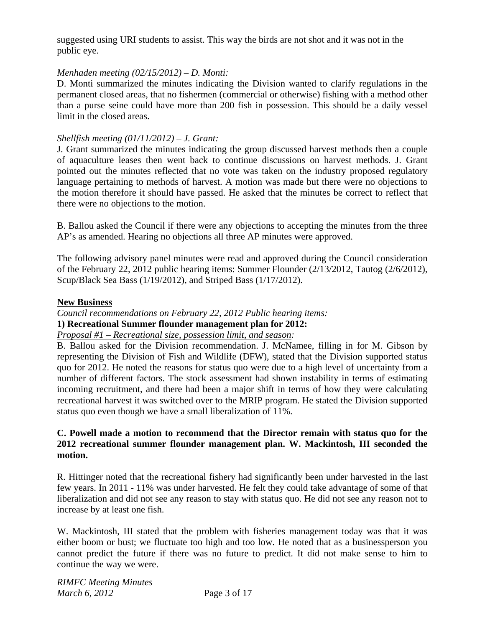suggested using URI students to assist. This way the birds are not shot and it was not in the public eye.

### *Menhaden meeting (02/15/2012) – D. Monti:*

D. Monti summarized the minutes indicating the Division wanted to clarify regulations in the permanent closed areas, that no fishermen (commercial or otherwise) fishing with a method other than a purse seine could have more than 200 fish in possession. This should be a daily vessel limit in the closed areas.

#### *Shellfish meeting (01/11/2012) – J. Grant:*

J. Grant summarized the minutes indicating the group discussed harvest methods then a couple of aquaculture leases then went back to continue discussions on harvest methods. J. Grant pointed out the minutes reflected that no vote was taken on the industry proposed regulatory language pertaining to methods of harvest. A motion was made but there were no objections to the motion therefore it should have passed. He asked that the minutes be correct to reflect that there were no objections to the motion.

B. Ballou asked the Council if there were any objections to accepting the minutes from the three AP's as amended. Hearing no objections all three AP minutes were approved.

The following advisory panel minutes were read and approved during the Council consideration of the February 22, 2012 public hearing items: Summer Flounder (2/13/2012, Tautog (2/6/2012), Scup/Black Sea Bass (1/19/2012), and Striped Bass (1/17/2012).

#### **New Business**

*Council recommendations on February 22, 2012 Public hearing items:* 

# **1) Recreational Summer flounder management plan for 2012:**

#### *Proposal #1 – Recreational size, possession limit, and season:*

B. Ballou asked for the Division recommendation. J. McNamee, filling in for M. Gibson by representing the Division of Fish and Wildlife (DFW), stated that the Division supported status quo for 2012. He noted the reasons for status quo were due to a high level of uncertainty from a number of different factors. The stock assessment had shown instability in terms of estimating incoming recruitment, and there had been a major shift in terms of how they were calculating recreational harvest it was switched over to the MRIP program. He stated the Division supported status quo even though we have a small liberalization of 11%.

### **C. Powell made a motion to recommend that the Director remain with status quo for the 2012 recreational summer flounder management plan. W. Mackintosh, III seconded the motion.**

R. Hittinger noted that the recreational fishery had significantly been under harvested in the last few years. In 2011 - 11% was under harvested. He felt they could take advantage of some of that liberalization and did not see any reason to stay with status quo. He did not see any reason not to increase by at least one fish.

W. Mackintosh, III stated that the problem with fisheries management today was that it was either boom or bust; we fluctuate too high and too low. He noted that as a businessperson you cannot predict the future if there was no future to predict. It did not make sense to him to continue the way we were.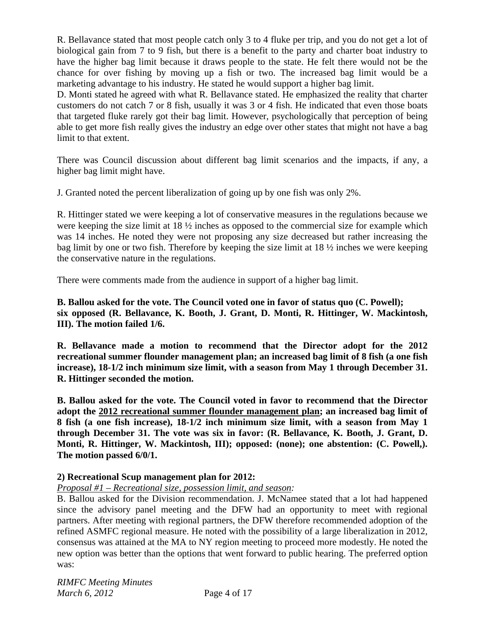R. Bellavance stated that most people catch only 3 to 4 fluke per trip, and you do not get a lot of biological gain from 7 to 9 fish, but there is a benefit to the party and charter boat industry to have the higher bag limit because it draws people to the state. He felt there would not be the chance for over fishing by moving up a fish or two. The increased bag limit would be a marketing advantage to his industry. He stated he would support a higher bag limit.

D. Monti stated he agreed with what R. Bellavance stated. He emphasized the reality that charter customers do not catch 7 or 8 fish, usually it was 3 or 4 fish. He indicated that even those boats that targeted fluke rarely got their bag limit. However, psychologically that perception of being able to get more fish really gives the industry an edge over other states that might not have a bag limit to that extent.

There was Council discussion about different bag limit scenarios and the impacts, if any, a higher bag limit might have.

J. Granted noted the percent liberalization of going up by one fish was only 2%.

R. Hittinger stated we were keeping a lot of conservative measures in the regulations because we were keeping the size limit at 18 ½ inches as opposed to the commercial size for example which was 14 inches. He noted they were not proposing any size decreased but rather increasing the bag limit by one or two fish. Therefore by keeping the size limit at 18 ½ inches we were keeping the conservative nature in the regulations.

There were comments made from the audience in support of a higher bag limit.

**B. Ballou asked for the vote. The Council voted one in favor of status quo (C. Powell); six opposed (R. Bellavance, K. Booth, J. Grant, D. Monti, R. Hittinger, W. Mackintosh, III). The motion failed 1/6.**

**R. Bellavance made a motion to recommend that the Director adopt for the 2012 recreational summer flounder management plan; an increased bag limit of 8 fish (a one fish increase), 18-1/2 inch minimum size limit, with a season from May 1 through December 31. R. Hittinger seconded the motion.** 

**B. Ballou asked for the vote. The Council voted in favor to recommend that the Director adopt the 2012 recreational summer flounder management plan; an increased bag limit of 8 fish (a one fish increase), 18-1/2 inch minimum size limit, with a season from May 1 through December 31. The vote was six in favor: (R. Bellavance, K. Booth, J. Grant, D. Monti, R. Hittinger, W. Mackintosh, III); opposed: (none); one abstention: (C. Powell,). The motion passed 6/0/1.** 

# **2) Recreational Scup management plan for 2012:**

# *Proposal #1 – Recreational size, possession limit, and season:*

B. Ballou asked for the Division recommendation. J. McNamee stated that a lot had happened since the advisory panel meeting and the DFW had an opportunity to meet with regional partners. After meeting with regional partners, the DFW therefore recommended adoption of the refined ASMFC regional measure. He noted with the possibility of a large liberalization in 2012, consensus was attained at the MA to NY region meeting to proceed more modestly. He noted the new option was better than the options that went forward to public hearing. The preferred option was: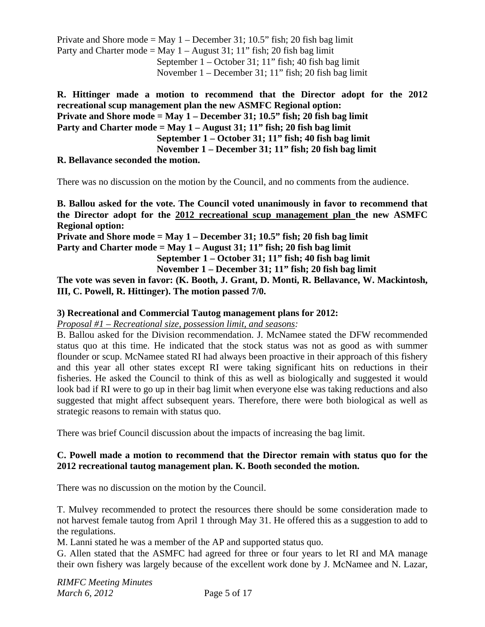Private and Shore mode = May  $1 -$ December 31; 10.5" fish; 20 fish bag limit Party and Charter mode = May  $1 -$ August 31; 11" fish; 20 fish bag limit September 1 – October 31; 11" fish; 40 fish bag limit November 1 – December 31; 11" fish; 20 fish bag limit

**R. Hittinger made a motion to recommend that the Director adopt for the 2012 recreational scup management plan the new ASMFC Regional option: Private and Shore mode = May 1 – December 31; 10.5" fish; 20 fish bag limit Party and Charter mode = May 1 – August 31; 11" fish; 20 fish bag limit September 1 – October 31; 11" fish; 40 fish bag limit November 1 – December 31; 11" fish; 20 fish bag limit** 

### **R. Bellavance seconded the motion.**

There was no discussion on the motion by the Council, and no comments from the audience.

**B. Ballou asked for the vote. The Council voted unanimously in favor to recommend that the Director adopt for the 2012 recreational scup management plan the new ASMFC Regional option:** 

**Private and Shore mode = May 1 – December 31; 10.5" fish; 20 fish bag limit Party and Charter mode = May 1 – August 31; 11" fish; 20 fish bag limit** 

 **September 1 – October 31; 11" fish; 40 fish bag limit** 

 **November 1 – December 31; 11" fish; 20 fish bag limit** 

**The vote was seven in favor: (K. Booth, J. Grant, D. Monti, R. Bellavance, W. Mackintosh, III, C. Powell, R. Hittinger). The motion passed 7/0.** 

#### **3) Recreational and Commercial Tautog management plans for 2012:**

*Proposal #1 – Recreational size, possession limit, and seasons:* 

B. Ballou asked for the Division recommendation. J. McNamee stated the DFW recommended status quo at this time. He indicated that the stock status was not as good as with summer flounder or scup. McNamee stated RI had always been proactive in their approach of this fishery and this year all other states except RI were taking significant hits on reductions in their fisheries. He asked the Council to think of this as well as biologically and suggested it would look bad if RI were to go up in their bag limit when everyone else was taking reductions and also suggested that might affect subsequent years. Therefore, there were both biological as well as strategic reasons to remain with status quo.

There was brief Council discussion about the impacts of increasing the bag limit.

### **C. Powell made a motion to recommend that the Director remain with status quo for the 2012 recreational tautog management plan. K. Booth seconded the motion.**

There was no discussion on the motion by the Council.

T. Mulvey recommended to protect the resources there should be some consideration made to not harvest female tautog from April 1 through May 31. He offered this as a suggestion to add to the regulations.

M. Lanni stated he was a member of the AP and supported status quo.

G. Allen stated that the ASMFC had agreed for three or four years to let RI and MA manage their own fishery was largely because of the excellent work done by J. McNamee and N. Lazar,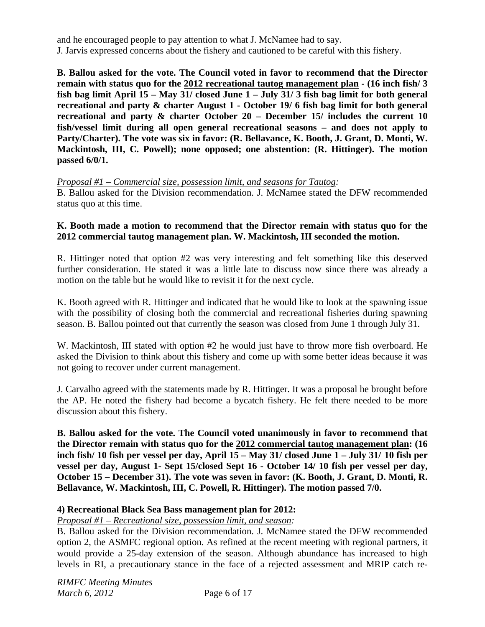and he encouraged people to pay attention to what J. McNamee had to say. J. Jarvis expressed concerns about the fishery and cautioned to be careful with this fishery.

**B. Ballou asked for the vote. The Council voted in favor to recommend that the Director remain with status quo for the 2012 recreational tautog management plan - (16 inch fish/ 3 fish bag limit April 15 – May 31/ closed June 1 – July 31/ 3 fish bag limit for both general recreational and party & charter August 1 - October 19/ 6 fish bag limit for both general recreational and party & charter October 20 – December 15/ includes the current 10 fish/vessel limit during all open general recreational seasons – and does not apply to Party/Charter). The vote was six in favor: (R. Bellavance, K. Booth, J. Grant, D. Monti, W. Mackintosh, III, C. Powell); none opposed; one abstention: (R. Hittinger). The motion passed 6/0/1.** 

*Proposal #1 – Commercial size, possession limit, and seasons for Tautog:* 

B. Ballou asked for the Division recommendation. J. McNamee stated the DFW recommended status quo at this time.

### **K. Booth made a motion to recommend that the Director remain with status quo for the 2012 commercial tautog management plan. W. Mackintosh, III seconded the motion.**

R. Hittinger noted that option #2 was very interesting and felt something like this deserved further consideration. He stated it was a little late to discuss now since there was already a motion on the table but he would like to revisit it for the next cycle.

K. Booth agreed with R. Hittinger and indicated that he would like to look at the spawning issue with the possibility of closing both the commercial and recreational fisheries during spawning season. B. Ballou pointed out that currently the season was closed from June 1 through July 31.

W. Mackintosh, III stated with option #2 he would just have to throw more fish overboard. He asked the Division to think about this fishery and come up with some better ideas because it was not going to recover under current management.

J. Carvalho agreed with the statements made by R. Hittinger. It was a proposal he brought before the AP. He noted the fishery had become a bycatch fishery. He felt there needed to be more discussion about this fishery.

**B. Ballou asked for the vote. The Council voted unanimously in favor to recommend that the Director remain with status quo for the 2012 commercial tautog management plan: (16 inch fish/ 10 fish per vessel per day, April 15 – May 31/ closed June 1 – July 31/ 10 fish per vessel per day, August 1- Sept 15/closed Sept 16 - October 14/ 10 fish per vessel per day, October 15 – December 31). The vote was seven in favor: (K. Booth, J. Grant, D. Monti, R. Bellavance, W. Mackintosh, III, C. Powell, R. Hittinger). The motion passed 7/0.** 

# **4) Recreational Black Sea Bass management plan for 2012:**

*Proposal #1 – Recreational size, possession limit, and season:* 

B. Ballou asked for the Division recommendation. J. McNamee stated the DFW recommended option 2, the ASMFC regional option. As refined at the recent meeting with regional partners, it would provide a 25-day extension of the season. Although abundance has increased to high levels in RI, a precautionary stance in the face of a rejected assessment and MRIP catch re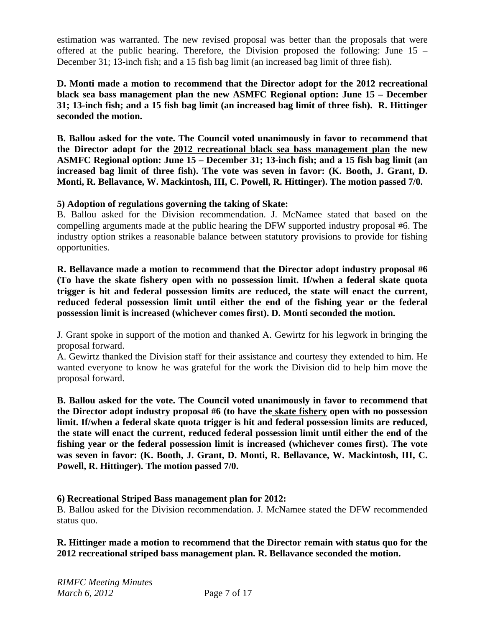estimation was warranted. The new revised proposal was better than the proposals that were offered at the public hearing. Therefore, the Division proposed the following: June 15 – December 31; 13-inch fish; and a 15 fish bag limit (an increased bag limit of three fish).

**D. Monti made a motion to recommend that the Director adopt for the 2012 recreational black sea bass management plan the new ASMFC Regional option: June 15 – December 31; 13-inch fish; and a 15 fish bag limit (an increased bag limit of three fish). R. Hittinger seconded the motion.** 

**B. Ballou asked for the vote. The Council voted unanimously in favor to recommend that the Director adopt for the 2012 recreational black sea bass management plan the new ASMFC Regional option: June 15 – December 31; 13-inch fish; and a 15 fish bag limit (an increased bag limit of three fish). The vote was seven in favor: (K. Booth, J. Grant, D. Monti, R. Bellavance, W. Mackintosh, III, C. Powell, R. Hittinger). The motion passed 7/0.** 

**5) Adoption of regulations governing the taking of Skate:** 

B. Ballou asked for the Division recommendation. J. McNamee stated that based on the compelling arguments made at the public hearing the DFW supported industry proposal #6. The industry option strikes a reasonable balance between statutory provisions to provide for fishing opportunities.

**R. Bellavance made a motion to recommend that the Director adopt industry proposal #6 (To have the skate fishery open with no possession limit. If/when a federal skate quota trigger is hit and federal possession limits are reduced, the state will enact the current, reduced federal possession limit until either the end of the fishing year or the federal possession limit is increased (whichever comes first). D. Monti seconded the motion.** 

J. Grant spoke in support of the motion and thanked A. Gewirtz for his legwork in bringing the proposal forward.

A. Gewirtz thanked the Division staff for their assistance and courtesy they extended to him. He wanted everyone to know he was grateful for the work the Division did to help him move the proposal forward.

**B. Ballou asked for the vote. The Council voted unanimously in favor to recommend that the Director adopt industry proposal #6 (to have the skate fishery open with no possession limit. If/when a federal skate quota trigger is hit and federal possession limits are reduced, the state will enact the current, reduced federal possession limit until either the end of the fishing year or the federal possession limit is increased (whichever comes first). The vote was seven in favor: (K. Booth, J. Grant, D. Monti, R. Bellavance, W. Mackintosh, III, C. Powell, R. Hittinger). The motion passed 7/0.** 

# **6) Recreational Striped Bass management plan for 2012:**

B. Ballou asked for the Division recommendation. J. McNamee stated the DFW recommended status quo.

### **R. Hittinger made a motion to recommend that the Director remain with status quo for the 2012 recreational striped bass management plan. R. Bellavance seconded the motion.**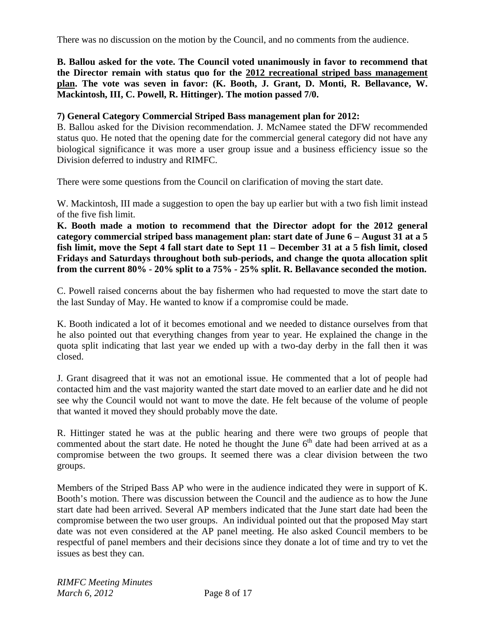There was no discussion on the motion by the Council, and no comments from the audience.

**B. Ballou asked for the vote. The Council voted unanimously in favor to recommend that the Director remain with status quo for the 2012 recreational striped bass management plan. The vote was seven in favor: (K. Booth, J. Grant, D. Monti, R. Bellavance, W. Mackintosh, III, C. Powell, R. Hittinger). The motion passed 7/0.** 

### **7) General Category Commercial Striped Bass management plan for 2012:**

B. Ballou asked for the Division recommendation. J. McNamee stated the DFW recommended status quo. He noted that the opening date for the commercial general category did not have any biological significance it was more a user group issue and a business efficiency issue so the Division deferred to industry and RIMFC.

There were some questions from the Council on clarification of moving the start date.

W. Mackintosh, III made a suggestion to open the bay up earlier but with a two fish limit instead of the five fish limit.

**K. Booth made a motion to recommend that the Director adopt for the 2012 general category commercial striped bass management plan: start date of June 6 – August 31 at a 5 fish limit, move the Sept 4 fall start date to Sept 11 – December 31 at a 5 fish limit, closed Fridays and Saturdays throughout both sub-periods, and change the quota allocation split from the current 80% - 20% split to a 75% - 25% split. R. Bellavance seconded the motion.** 

C. Powell raised concerns about the bay fishermen who had requested to move the start date to the last Sunday of May. He wanted to know if a compromise could be made.

K. Booth indicated a lot of it becomes emotional and we needed to distance ourselves from that he also pointed out that everything changes from year to year. He explained the change in the quota split indicating that last year we ended up with a two-day derby in the fall then it was closed.

J. Grant disagreed that it was not an emotional issue. He commented that a lot of people had contacted him and the vast majority wanted the start date moved to an earlier date and he did not see why the Council would not want to move the date. He felt because of the volume of people that wanted it moved they should probably move the date.

R. Hittinger stated he was at the public hearing and there were two groups of people that commented about the start date. He noted he thought the June  $6<sup>th</sup>$  date had been arrived at as a compromise between the two groups. It seemed there was a clear division between the two groups.

Members of the Striped Bass AP who were in the audience indicated they were in support of K. Booth's motion. There was discussion between the Council and the audience as to how the June start date had been arrived. Several AP members indicated that the June start date had been the compromise between the two user groups. An individual pointed out that the proposed May start date was not even considered at the AP panel meeting. He also asked Council members to be respectful of panel members and their decisions since they donate a lot of time and try to vet the issues as best they can.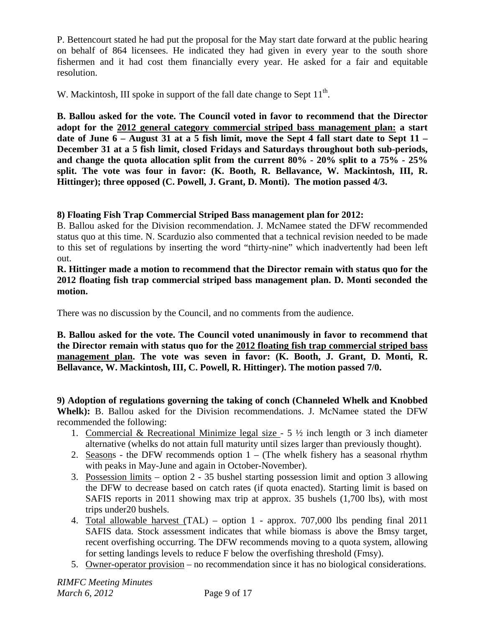P. Bettencourt stated he had put the proposal for the May start date forward at the public hearing on behalf of 864 licensees. He indicated they had given in every year to the south shore fishermen and it had cost them financially every year. He asked for a fair and equitable resolution.

W. Mackintosh, III spoke in support of the fall date change to Sept  $11<sup>th</sup>$ .

**B. Ballou asked for the vote. The Council voted in favor to recommend that the Director adopt for the 2012 general category commercial striped bass management plan: a start date of June 6 – August 31 at a 5 fish limit, move the Sept 4 fall start date to Sept 11 – December 31 at a 5 fish limit, closed Fridays and Saturdays throughout both sub-periods, and change the quota allocation split from the current 80% - 20% split to a 75% - 25% split. The vote was four in favor: (K. Booth, R. Bellavance, W. Mackintosh, III, R. Hittinger); three opposed (C. Powell, J. Grant, D. Monti). The motion passed 4/3.** 

# **8) Floating Fish Trap Commercial Striped Bass management plan for 2012:**

B. Ballou asked for the Division recommendation. J. McNamee stated the DFW recommended status quo at this time. N. Scarduzio also commented that a technical revision needed to be made to this set of regulations by inserting the word "thirty-nine" which inadvertently had been left out.

**R. Hittinger made a motion to recommend that the Director remain with status quo for the 2012 floating fish trap commercial striped bass management plan. D. Monti seconded the motion.** 

There was no discussion by the Council, and no comments from the audience.

**B. Ballou asked for the vote. The Council voted unanimously in favor to recommend that the Director remain with status quo for the 2012 floating fish trap commercial striped bass management plan. The vote was seven in favor: (K. Booth, J. Grant, D. Monti, R. Bellavance, W. Mackintosh, III, C. Powell, R. Hittinger). The motion passed 7/0.** 

**9) Adoption of regulations governing the taking of conch (Channeled Whelk and Knobbed Whelk):** B. Ballou asked for the Division recommendations. J. McNamee stated the DFW recommended the following:

- 1. Commercial & Recreational Minimize legal size  $-5\frac{1}{2}$  inch length or 3 inch diameter alternative (whelks do not attain full maturity until sizes larger than previously thought).
- 2. Seasons the DFW recommends option  $1 -$  (The whelk fishery has a seasonal rhythm with peaks in May-June and again in October-November).
- 3. Possession limits option 2 35 bushel starting possession limit and option 3 allowing the DFW to decrease based on catch rates (if quota enacted). Starting limit is based on SAFIS reports in 2011 showing max trip at approx. 35 bushels (1,700 lbs), with most trips under20 bushels.
- 4. Total allowable harvest (TAL) option 1 approx. 707,000 lbs pending final 2011 SAFIS data. Stock assessment indicates that while biomass is above the Bmsy target, recent overfishing occurring. The DFW recommends moving to a quota system, allowing for setting landings levels to reduce F below the overfishing threshold (Fmsy).
- 5. Owner-operator provision no recommendation since it has no biological considerations.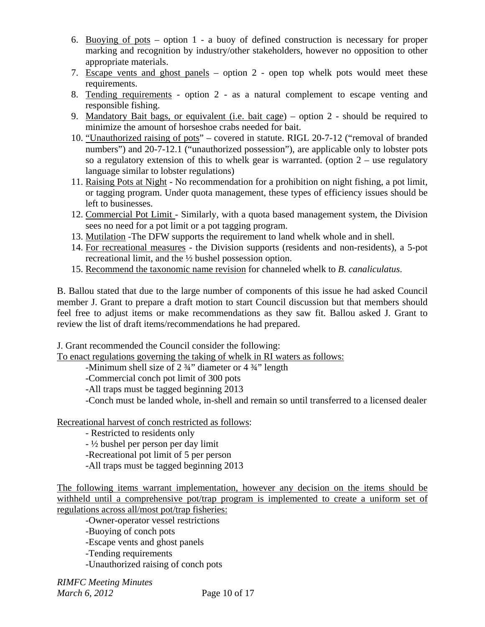- 6. Buoying of pots option 1 a buoy of defined construction is necessary for proper marking and recognition by industry/other stakeholders, however no opposition to other appropriate materials.
- 7. Escape vents and ghost panels option 2 open top whelk pots would meet these requirements.
- 8. Tending requirements option 2 as a natural complement to escape venting and responsible fishing.
- 9. Mandatory Bait bags, or equivalent (i.e. bait cage) option 2 should be required to minimize the amount of horseshoe crabs needed for bait.
- 10. "Unauthorized raising of pots" covered in statute. RIGL 20-7-12 ("removal of branded numbers") and 20-7-12.1 ("unauthorized possession"), are applicable only to lobster pots so a regulatory extension of this to whelk gear is warranted. (option  $2 -$  use regulatory language similar to lobster regulations)
- 11. Raising Pots at Night No recommendation for a prohibition on night fishing, a pot limit, or tagging program. Under quota management, these types of efficiency issues should be left to businesses.
- 12. Commercial Pot Limit Similarly, with a quota based management system, the Division sees no need for a pot limit or a pot tagging program.
- 13. Mutilation -The DFW supports the requirement to land whelk whole and in shell.
- 14. For recreational measures the Division supports (residents and non-residents), a 5-pot recreational limit, and the ½ bushel possession option.
- 15. Recommend the taxonomic name revision for channeled whelk to *B. canaliculatus*.

B. Ballou stated that due to the large number of components of this issue he had asked Council member J. Grant to prepare a draft motion to start Council discussion but that members should feel free to adjust items or make recommendations as they saw fit. Ballou asked J. Grant to review the list of draft items/recommendations he had prepared.

J. Grant recommended the Council consider the following:

To enact regulations governing the taking of whelk in RI waters as follows:

-Minimum shell size of 2 ¾" diameter or 4 ¾" length

-Commercial conch pot limit of 300 pots

-All traps must be tagged beginning 2013

-Conch must be landed whole, in-shell and remain so until transferred to a licensed dealer

Recreational harvest of conch restricted as follows:

- Restricted to residents only

- ½ bushel per person per day limit

-Recreational pot limit of 5 per person

-All traps must be tagged beginning 2013

The following items warrant implementation, however any decision on the items should be withheld until a comprehensive pot/trap program is implemented to create a uniform set of regulations across all/most pot/trap fisheries:

-Owner-operator vessel restrictions

-Buoying of conch pots

-Escape vents and ghost panels

-Tending requirements

-Unauthorized raising of conch pots

*RIMFC Meeting Minutes March 6, 2012* Page 10 of 17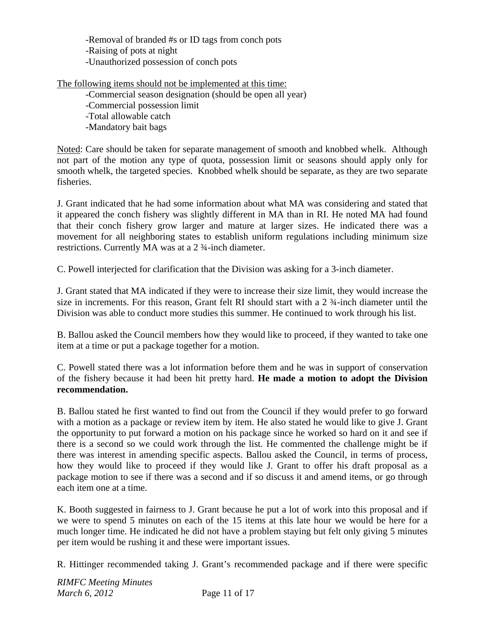-Removal of branded #s or ID tags from conch pots -Raising of pots at night -Unauthorized possession of conch pots

The following items should not be implemented at this time:

 -Commercial season designation (should be open all year) -Commercial possession limit -Total allowable catch -Mandatory bait bags

Noted: Care should be taken for separate management of smooth and knobbed whelk. Although not part of the motion any type of quota, possession limit or seasons should apply only for smooth whelk, the targeted species. Knobbed whelk should be separate, as they are two separate fisheries.

J. Grant indicated that he had some information about what MA was considering and stated that it appeared the conch fishery was slightly different in MA than in RI. He noted MA had found that their conch fishery grow larger and mature at larger sizes. He indicated there was a movement for all neighboring states to establish uniform regulations including minimum size restrictions. Currently MA was at a 2 ¾-inch diameter.

C. Powell interjected for clarification that the Division was asking for a 3-inch diameter.

J. Grant stated that MA indicated if they were to increase their size limit, they would increase the size in increments. For this reason, Grant felt RI should start with a 2 ¾-inch diameter until the Division was able to conduct more studies this summer. He continued to work through his list.

B. Ballou asked the Council members how they would like to proceed, if they wanted to take one item at a time or put a package together for a motion.

C. Powell stated there was a lot information before them and he was in support of conservation of the fishery because it had been hit pretty hard. **He made a motion to adopt the Division recommendation.** 

B. Ballou stated he first wanted to find out from the Council if they would prefer to go forward with a motion as a package or review item by item. He also stated he would like to give J. Grant the opportunity to put forward a motion on his package since he worked so hard on it and see if there is a second so we could work through the list. He commented the challenge might be if there was interest in amending specific aspects. Ballou asked the Council, in terms of process, how they would like to proceed if they would like J. Grant to offer his draft proposal as a package motion to see if there was a second and if so discuss it and amend items, or go through each item one at a time.

K. Booth suggested in fairness to J. Grant because he put a lot of work into this proposal and if we were to spend 5 minutes on each of the 15 items at this late hour we would be here for a much longer time. He indicated he did not have a problem staying but felt only giving 5 minutes per item would be rushing it and these were important issues.

R. Hittinger recommended taking J. Grant's recommended package and if there were specific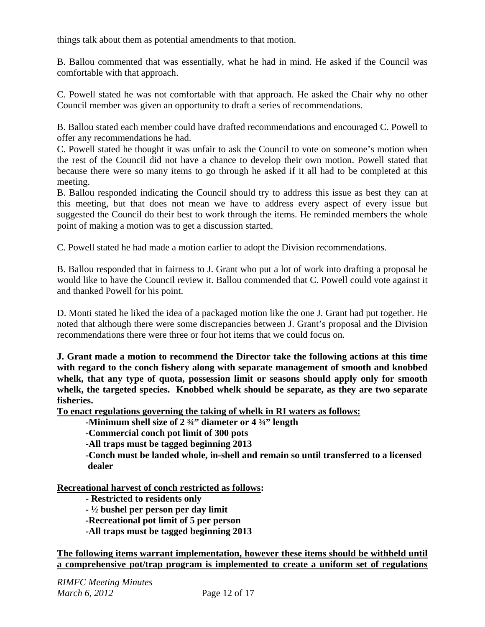things talk about them as potential amendments to that motion.

B. Ballou commented that was essentially, what he had in mind. He asked if the Council was comfortable with that approach.

C. Powell stated he was not comfortable with that approach. He asked the Chair why no other Council member was given an opportunity to draft a series of recommendations.

B. Ballou stated each member could have drafted recommendations and encouraged C. Powell to offer any recommendations he had.

C. Powell stated he thought it was unfair to ask the Council to vote on someone's motion when the rest of the Council did not have a chance to develop their own motion. Powell stated that because there were so many items to go through he asked if it all had to be completed at this meeting.

B. Ballou responded indicating the Council should try to address this issue as best they can at this meeting, but that does not mean we have to address every aspect of every issue but suggested the Council do their best to work through the items. He reminded members the whole point of making a motion was to get a discussion started.

C. Powell stated he had made a motion earlier to adopt the Division recommendations.

B. Ballou responded that in fairness to J. Grant who put a lot of work into drafting a proposal he would like to have the Council review it. Ballou commended that C. Powell could vote against it and thanked Powell for his point.

D. Monti stated he liked the idea of a packaged motion like the one J. Grant had put together. He noted that although there were some discrepancies between J. Grant's proposal and the Division recommendations there were three or four hot items that we could focus on.

**J. Grant made a motion to recommend the Director take the following actions at this time with regard to the conch fishery along with separate management of smooth and knobbed whelk, that any type of quota, possession limit or seasons should apply only for smooth whelk, the targeted species. Knobbed whelk should be separate, as they are two separate fisheries.** 

**To enact regulations governing the taking of whelk in RI waters as follows:**

 **-Minimum shell size of 2 ¾" diameter or 4 ¾" length** 

 **-Commercial conch pot limit of 300 pots** 

 **-All traps must be tagged beginning 2013** 

 **-Conch must be landed whole, in-shell and remain so until transferred to a licensed dealer** 

**Recreational harvest of conch restricted as follows:** 

 **- Restricted to residents only** 

 **- ½ bushel per person per day limit** 

 **-Recreational pot limit of 5 per person** 

 **-All traps must be tagged beginning 2013** 

**The following items warrant implementation, however these items should be withheld until a comprehensive pot/trap program is implemented to create a uniform set of regulations**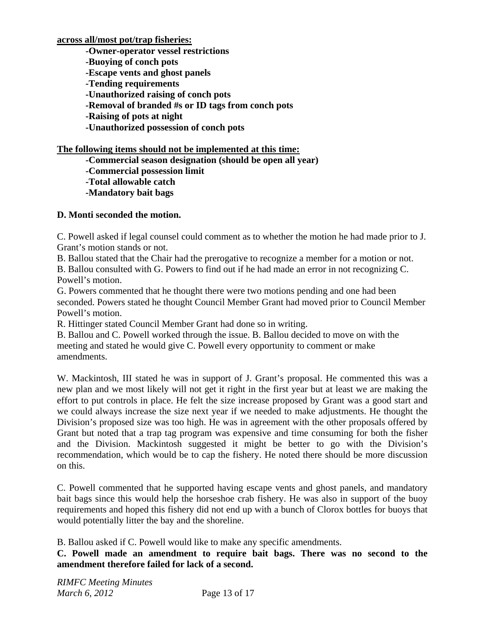**across all/most pot/trap fisheries:**

 **-Owner-operator vessel restrictions** 

 **-Buoying of conch pots** 

 **-Escape vents and ghost panels** 

 **-Tending requirements** 

 **-Unauthorized raising of conch pots** 

 **-Removal of branded #s or ID tags from conch pots** 

 **-Raising of pots at night** 

 **-Unauthorized possession of conch pots** 

# **The following items should not be implemented at this time:**

 **-Commercial season designation (should be open all year)** 

 **-Commercial possession limit** 

 **-Total allowable catch** 

 **-Mandatory bait bags** 

# **D. Monti seconded the motion.**

C. Powell asked if legal counsel could comment as to whether the motion he had made prior to J. Grant's motion stands or not.

B. Ballou stated that the Chair had the prerogative to recognize a member for a motion or not.

B. Ballou consulted with G. Powers to find out if he had made an error in not recognizing C. Powell's motion.

G. Powers commented that he thought there were two motions pending and one had been seconded. Powers stated he thought Council Member Grant had moved prior to Council Member Powell's motion.

R. Hittinger stated Council Member Grant had done so in writing.

B. Ballou and C. Powell worked through the issue. B. Ballou decided to move on with the meeting and stated he would give C. Powell every opportunity to comment or make amendments.

W. Mackintosh, III stated he was in support of J. Grant's proposal. He commented this was a new plan and we most likely will not get it right in the first year but at least we are making the effort to put controls in place. He felt the size increase proposed by Grant was a good start and we could always increase the size next year if we needed to make adjustments. He thought the Division's proposed size was too high. He was in agreement with the other proposals offered by Grant but noted that a trap tag program was expensive and time consuming for both the fisher and the Division. Mackintosh suggested it might be better to go with the Division's recommendation, which would be to cap the fishery. He noted there should be more discussion on this.

C. Powell commented that he supported having escape vents and ghost panels, and mandatory bait bags since this would help the horseshoe crab fishery. He was also in support of the buoy requirements and hoped this fishery did not end up with a bunch of Clorox bottles for buoys that would potentially litter the bay and the shoreline.

B. Ballou asked if C. Powell would like to make any specific amendments.

**C. Powell made an amendment to require bait bags. There was no second to the amendment therefore failed for lack of a second.**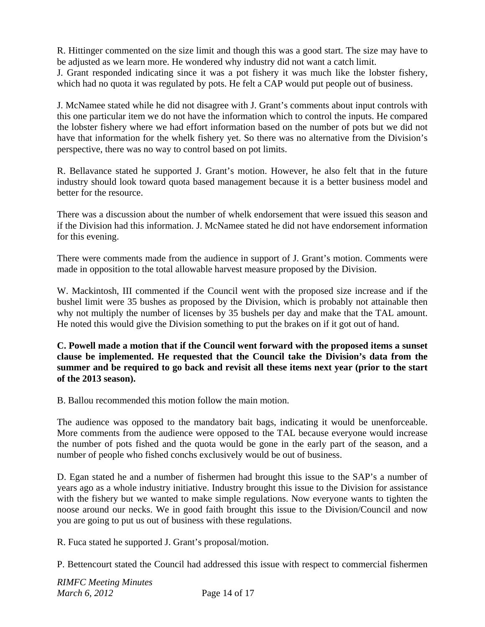R. Hittinger commented on the size limit and though this was a good start. The size may have to be adjusted as we learn more. He wondered why industry did not want a catch limit.

J. Grant responded indicating since it was a pot fishery it was much like the lobster fishery, which had no quota it was regulated by pots. He felt a CAP would put people out of business.

J. McNamee stated while he did not disagree with J. Grant's comments about input controls with this one particular item we do not have the information which to control the inputs. He compared the lobster fishery where we had effort information based on the number of pots but we did not have that information for the whelk fishery yet. So there was no alternative from the Division's perspective, there was no way to control based on pot limits.

R. Bellavance stated he supported J. Grant's motion. However, he also felt that in the future industry should look toward quota based management because it is a better business model and better for the resource.

There was a discussion about the number of whelk endorsement that were issued this season and if the Division had this information. J. McNamee stated he did not have endorsement information for this evening.

There were comments made from the audience in support of J. Grant's motion. Comments were made in opposition to the total allowable harvest measure proposed by the Division.

W. Mackintosh, III commented if the Council went with the proposed size increase and if the bushel limit were 35 bushes as proposed by the Division, which is probably not attainable then why not multiply the number of licenses by 35 bushels per day and make that the TAL amount. He noted this would give the Division something to put the brakes on if it got out of hand.

**C. Powell made a motion that if the Council went forward with the proposed items a sunset clause be implemented. He requested that the Council take the Division's data from the summer and be required to go back and revisit all these items next year (prior to the start of the 2013 season).** 

B. Ballou recommended this motion follow the main motion.

The audience was opposed to the mandatory bait bags, indicating it would be unenforceable. More comments from the audience were opposed to the TAL because everyone would increase the number of pots fished and the quota would be gone in the early part of the season, and a number of people who fished conchs exclusively would be out of business.

D. Egan stated he and a number of fishermen had brought this issue to the SAP's a number of years ago as a whole industry initiative. Industry brought this issue to the Division for assistance with the fishery but we wanted to make simple regulations. Now everyone wants to tighten the noose around our necks. We in good faith brought this issue to the Division/Council and now you are going to put us out of business with these regulations.

R. Fuca stated he supported J. Grant's proposal/motion.

P. Bettencourt stated the Council had addressed this issue with respect to commercial fishermen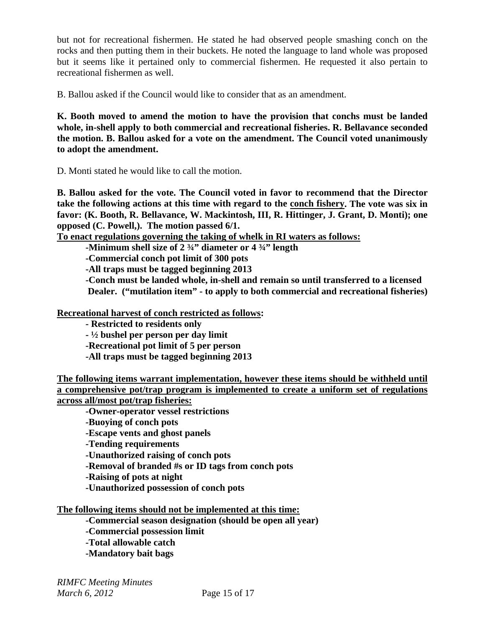but not for recreational fishermen. He stated he had observed people smashing conch on the rocks and then putting them in their buckets. He noted the language to land whole was proposed but it seems like it pertained only to commercial fishermen. He requested it also pertain to recreational fishermen as well.

B. Ballou asked if the Council would like to consider that as an amendment.

**K. Booth moved to amend the motion to have the provision that conchs must be landed whole, in-shell apply to both commercial and recreational fisheries. R. Bellavance seconded the motion. B. Ballou asked for a vote on the amendment. The Council voted unanimously to adopt the amendment.** 

D. Monti stated he would like to call the motion.

**B. Ballou asked for the vote. The Council voted in favor to recommend that the Director take the following actions at this time with regard to the conch fishery. The vote was six in favor: (K. Booth, R. Bellavance, W. Mackintosh, III, R. Hittinger, J. Grant, D. Monti); one opposed (C. Powell,). The motion passed 6/1.** 

**To enact regulations governing the taking of whelk in RI waters as follows:**

 **-Minimum shell size of 2 ¾" diameter or 4 ¾" length** 

 **-Commercial conch pot limit of 300 pots** 

 **-All traps must be tagged beginning 2013** 

 **-Conch must be landed whole, in-shell and remain so until transferred to a licensed Dealer. ("mutilation item" - to apply to both commercial and recreational fisheries)** 

**Recreational harvest of conch restricted as follows:** 

 **- Restricted to residents only** 

 **- ½ bushel per person per day limit** 

 **-Recreational pot limit of 5 per person** 

 **-All traps must be tagged beginning 2013** 

**The following items warrant implementation, however these items should be withheld until a comprehensive pot/trap program is implemented to create a uniform set of regulations across all/most pot/trap fisheries:**

 **-Owner-operator vessel restrictions** 

 **-Buoying of conch pots** 

 **-Escape vents and ghost panels** 

 **-Tending requirements** 

 **-Unauthorized raising of conch pots** 

 **-Removal of branded #s or ID tags from conch pots** 

 **-Raising of pots at night** 

 **-Unauthorized possession of conch pots** 

**The following items should not be implemented at this time:**

 **-Commercial season designation (should be open all year)** 

 **-Commercial possession limit** 

 **-Total allowable catch** 

 **-Mandatory bait bags**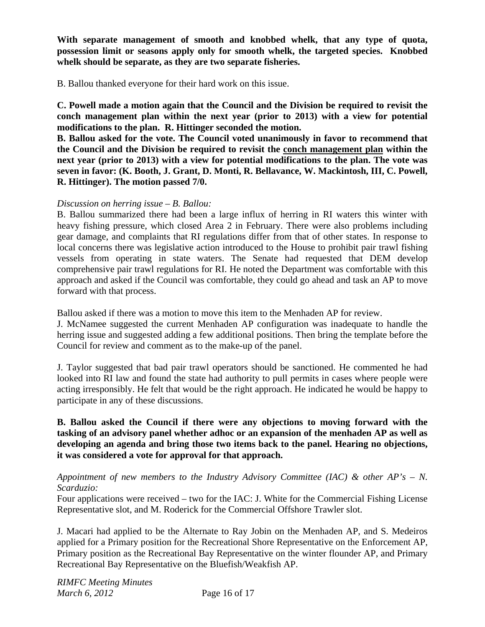**With separate management of smooth and knobbed whelk, that any type of quota, possession limit or seasons apply only for smooth whelk, the targeted species. Knobbed whelk should be separate, as they are two separate fisheries.** 

B. Ballou thanked everyone for their hard work on this issue.

**C. Powell made a motion again that the Council and the Division be required to revisit the conch management plan within the next year (prior to 2013) with a view for potential modifications to the plan. R. Hittinger seconded the motion.**

**B. Ballou asked for the vote. The Council voted unanimously in favor to recommend that the Council and the Division be required to revisit the conch management plan within the next year (prior to 2013) with a view for potential modifications to the plan. The vote was seven in favor: (K. Booth, J. Grant, D. Monti, R. Bellavance, W. Mackintosh, III, C. Powell, R. Hittinger). The motion passed 7/0.**

### *Discussion on herring issue – B. Ballou:*

B. Ballou summarized there had been a large influx of herring in RI waters this winter with heavy fishing pressure, which closed Area 2 in February. There were also problems including gear damage, and complaints that RI regulations differ from that of other states. In response to local concerns there was legislative action introduced to the House to prohibit pair trawl fishing vessels from operating in state waters. The Senate had requested that DEM develop comprehensive pair trawl regulations for RI. He noted the Department was comfortable with this approach and asked if the Council was comfortable, they could go ahead and task an AP to move forward with that process.

Ballou asked if there was a motion to move this item to the Menhaden AP for review.

J. McNamee suggested the current Menhaden AP configuration was inadequate to handle the herring issue and suggested adding a few additional positions. Then bring the template before the Council for review and comment as to the make-up of the panel.

J. Taylor suggested that bad pair trawl operators should be sanctioned. He commented he had looked into RI law and found the state had authority to pull permits in cases where people were acting irresponsibly. He felt that would be the right approach. He indicated he would be happy to participate in any of these discussions.

# **B. Ballou asked the Council if there were any objections to moving forward with the tasking of an advisory panel whether adhoc or an expansion of the menhaden AP as well as developing an agenda and bring those two items back to the panel. Hearing no objections, it was considered a vote for approval for that approach.**

### *Appointment of new members to the Industry Advisory Committee (IAC) & other AP's – N. Scarduzio:*

Four applications were received – two for the IAC: J. White for the Commercial Fishing License Representative slot, and M. Roderick for the Commercial Offshore Trawler slot.

J. Macari had applied to be the Alternate to Ray Jobin on the Menhaden AP, and S. Medeiros applied for a Primary position for the Recreational Shore Representative on the Enforcement AP, Primary position as the Recreational Bay Representative on the winter flounder AP, and Primary Recreational Bay Representative on the Bluefish/Weakfish AP.